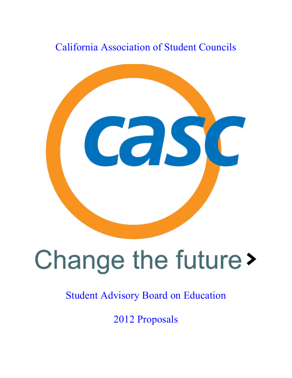# California Association of Student Councils



# Change the future>

# Student Advisory Board on Education

2012 Proposals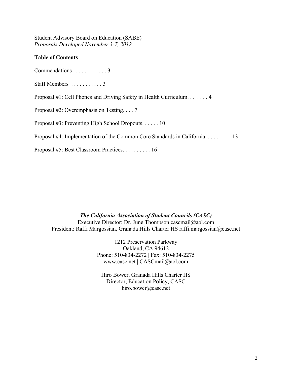Student Advisory Board on Education (SABE) *Proposals Developed November 3-7, 2012*

#### **Table of Contents**

Commendations . . . . . . . . . . . . 3

Staff Members . . . . . . . . . . . 3

Proposal #1: Cell Phones and Driving Safety in Health Curriculum. . . . . . . 4

Proposal #2: Overemphasis on Testing. . . . 7

Proposal #3: Preventing High School Dropouts. . . . . . 10

Proposal #4: Implementation of the Common Core Standards in California. . . . . 13

Proposal #5: Best Classroom Practices. . . . . . . . . . 16

*The California Association of Student Councils (CASC)* Executive Director: Dr. June Thompson cascmail@aol.com President: Raffi Margossian, Granada Hills Charter HS raffi.margossian@casc.net

> 1212 Preservation Parkway Oakland, CA 94612 Phone: 510-834-2272 | Fax: 510-834-2275 www.casc.net | CASCmail@aol.com

Hiro Bower, Granada Hills Charter HS Director, Education Policy, CASC hiro.bower@casc.net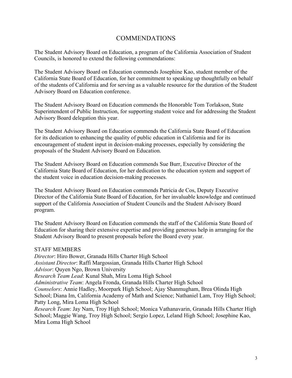# COMMENDATIONS

The Student Advisory Board on Education, a program of the California Association of Student Councils, is honored to extend the following commendations:

The Student Advisory Board on Education commends Josephine Kao, student member of the California State Board of Education, for her commitment to speaking up thoughtfully on behalf of the students of California and for serving as a valuable resource for the duration of the Student Advisory Board on Education conference.

The Student Advisory Board on Education commends the Honorable Tom Torlakson, State Superintendent of Public Instruction, for supporting student voice and for addressing the Student Advisory Board delegation this year.

The Student Advisory Board on Education commends the California State Board of Education for its dedication to enhancing the quality of public education in California and for its encouragement of student input in decision-making processes, especially by considering the proposals of the Student Advisory Board on Education.

The Student Advisory Board on Education commends Sue Burr, Executive Director of the California State Board of Education, for her dedication to the education system and support of the student voice in education decision-making processes.

The Student Advisory Board on Education commends Patricia de Cos, Deputy Executive Director of the California State Board of Education, for her invaluable knowledge and continued support of the California Association of Student Councils and the Student Advisory Board program.

The Student Advisory Board on Education commends the staff of the California State Board of Education for sharing their extensive expertise and providing generous help in arranging for the Student Advisory Board to present proposals before the Board every year.

#### STAFF MEMBERS

*Director*: Hiro Bower, Granada Hills Charter High School *Assistant Director*: Raffi Margossian, Granada Hills Charter High School *Advisor*: Quyen Ngo, Brown University *Research Team Lead*: Kunal Shah, Mira Loma High School *Administrative Team*: Angela Fronda, Granada Hills Charter High School *Counselors*: Annie Hadley, Moorpark High School; Ajay Shanmugham, Brea Olinda High School; Diana Im, California Academy of Math and Science; Nathaniel Lam, Troy High School; Patty Long, Mira Loma High School *Research Team*: Jay Nam, Troy High School; Monica Vathanavarin, Granada Hills Charter High School; Maggie Wang, Troy High School; Sergio Lopez, Leland High School; Josephine Kao,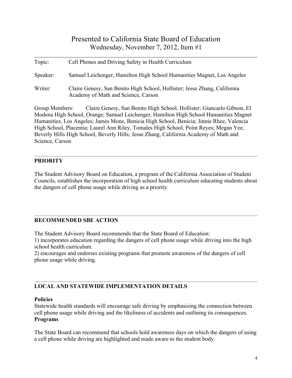| Topic:         | Cell Phones and Driving Safety in Health Curriculum                                                                                                             |
|----------------|-----------------------------------------------------------------------------------------------------------------------------------------------------------------|
| Speaker:       | Samuel Leichenger, Hamilton High School Humanities Magnet, Los Angeles                                                                                          |
| Writer:        | Claire Genesy, San Benito High School, Hollister; Jesse Zhang, California<br>Academy of Math and Science, Carson                                                |
| Group Members: | Claire Genesy, San Benito High School, Hollister; Giancarlo Gibson, El<br>Modena High School, Orange: Samuel Leichenger, Hamilton High School Humanities Magnet |

Modena High School, Orange; Samuel Leichenger, Hamilton High School Humanities Magnet Humanities, Los Angeles; James Mone, Benicia High School, Benicia; Jinnie Rhee, Valencia High School, Placentia; Laurel Ann Riley, Tomales High School, Point Reyes; Megan Yee, Beverly Hills High School, Beverly Hills; Jesse Zhang, California Academy of Math and Science, Carson

# **PRIORITY**

The Student Advisory Board on Education, a program of the California Association of Student Councils, establishes the incorporation of high school health curriculum educating students about the dangers of cell phone usage while driving as a priority.

# **RECOMMENDED SBE ACTION**

The Student Advisory Board recommends that the State Board of Education:

1) incorporates education regarding the dangers of cell phone usage while driving into the high school health curriculum.

2) encourages and endorses existing programs that promote awareness of the dangers of cell phone usage while driving.

# **LOCAL AND STATEWIDE IMPLEMENTATION DETAILS**

# **Policies**

Statewide health standards will encourage safe driving by emphasizing the connection between cell phone usage while driving and the likeliness of accidents and outlining its consequences. **Programs**

The State Board can recommend that schools hold awareness days on which the dangers of using a cell phone while driving are highlighted and made aware to the student body.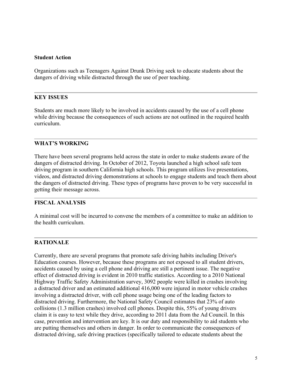#### **Student Action**

Organizations such as Teenagers Against Drunk Driving seek to educate students about the dangers of driving while distracted through the use of peer teaching.

#### **KEY ISSUES**

Students are much more likely to be involved in accidents caused by the use of a cell phone while driving because the consequences of such actions are not outlined in the required health curriculum.

#### **WHAT'S WORKING**

There have been several programs held across the state in order to make students aware of the dangers of distracted driving. In October of 2012, Toyota launched a high school safe teen driving program in southern California high schools. This program utilizes live presentations, videos, and distracted driving demonstrations at schools to engage students and teach them about the dangers of distracted driving. These types of programs have proven to be very successful in getting their message across.

#### **FISCAL ANALYSIS**

A minimal cost will be incurred to convene the members of a committee to make an addition to the health curriculum.

#### **RATIONALE**

Currently, there are several programs that promote safe driving habits including Driver's Education courses. However, because these programs are not exposed to all student drivers, accidents caused by using a cell phone and driving are still a pertinent issue. The negative effect of distracted driving is evident in 2010 traffic statistics. According to a 2010 National Highway Traffic Safety Administration survey, 3092 people were killed in crashes involving a distracted driver and an estimated additional 416,000 were injured in motor vehicle crashes involving a distracted driver, with cell phone usage being one of the leading factors to distracted driving. Furthermore, the National Safety Council estimates that 23% of auto collisions (1.3 million crashes) involved cell phones. Despite this, 55% of young drivers claim it is easy to text while they drive, according to 2011 data from the Ad Council. In this case, prevention and intervention are key. It is our duty and responsibility to aid students who are putting themselves and others in danger. In order to communicate the consequences of distracted driving, safe driving practices (specifically tailored to educate students about the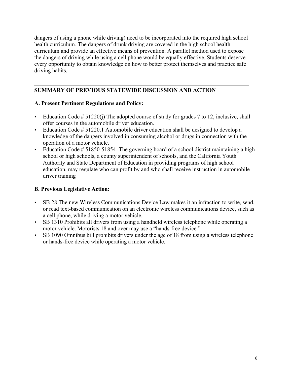dangers of using a phone while driving) need to be incorporated into the required high school health curriculum. The dangers of drunk driving are covered in the high school health curriculum and provide an effective means of prevention. A parallel method used to expose the dangers of driving while using a cell phone would be equally effective. Students deserve every opportunity to obtain knowledge on how to better protect themselves and practice safe driving habits.

# **SUMMARY OF PREVIOUS STATEWIDE DISCUSSION AND ACTION**

# **A. Present Pertinent Regulations and Policy:**

- Education Code  $# 51220(i)$  The adopted course of study for grades 7 to 12, inclusive, shall offer courses in the automobile driver education.
- Education Code # 51220.1 Automobile driver education shall be designed to develop a knowledge of the dangers involved in consuming alcohol or drugs in connection with the operation of a motor vehicle.
- Education Code # 51850-51854 The governing board of a school district maintaining a high school or high schools, a county superintendent of schools, and the California Youth Authority and State Department of Education in providing programs of high school education, may regulate who can profit by and who shall receive instruction in automobile driver training

# **B. Previous Legislative Action:**

- SB 28 The new Wireless Communications Device Law makes it an infraction to write, send, or read text-based communication on an electronic wireless communications device, such as a cell phone, while driving a motor vehicle.
- SB 1310 Prohibits all drivers from using a handheld wireless telephone while operating a motor vehicle. Motorists 18 and over may use a "hands-free device."
- SB 1090 Omnibus bill prohibits drivers under the age of 18 from using a wireless telephone or hands-free device while operating a motor vehicle.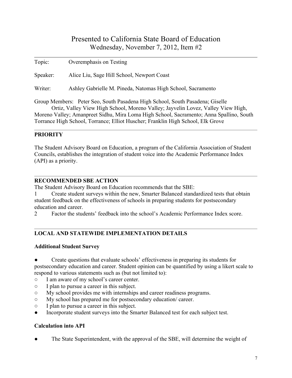| Topic:   | Overemphasis on Testing                                                                                                                                           |
|----------|-------------------------------------------------------------------------------------------------------------------------------------------------------------------|
| Speaker: | Alice Liu, Sage Hill School, Newport Coast                                                                                                                        |
| Writer:  | Ashley Gabrielle M. Pineda, Natomas High School, Sacramento                                                                                                       |
|          | Group Members: Peter Seo, South Pasadena High School, South Pasadena; Giselle<br>Ortiz, Valley View High School, Moreno Valley; Jayvelin Lovez, Valley View High, |
|          | Moreno Valley; Amanpreet Sidhu, Mira Loma High School, Sacramento; Anna Spallino, South                                                                           |
|          | Torrance High School, Torrance: Elliot Huscher: Franklin High School, Elk Grove                                                                                   |

# **PRIORITY**

The Student Advisory Board on Education, a program of the California Association of Student Councils, establishes the integration of student voice into the Academic Performance Index (API) as a priority.

# **RECOMMENDED SBE ACTION**

The Student Advisory Board on Education recommends that the SBE:

1 Create student surveys within the new, Smarter Balanced standardized tests that obtain student feedback on the effectiveness of schools in preparing students for postsecondary education and career.

2 Factor the students' feedback into the school's Academic Performance Index score.

# **LOCAL AND STATEWIDE IMPLEMENTATION DETAILS**

# **Additional Student Survey**

Create questions that evaluate schools' effectiveness in preparing its students for postsecondary education and career. Student opinion can be quantified by using a likert scale to respond to various statements such as (but not limited to):

- I am aware of my school's career center.
- I plan to pursue a career in this subject.
- My school provides me with internships and career readiness programs.
- My school has prepared me for postsecondary education/ career.
- I plan to pursue a career in this subject.
- Incorporate student surveys into the Smarter Balanced test for each subject test.

# **Calculation into API**

The State Superintendent, with the approval of the SBE, will determine the weight of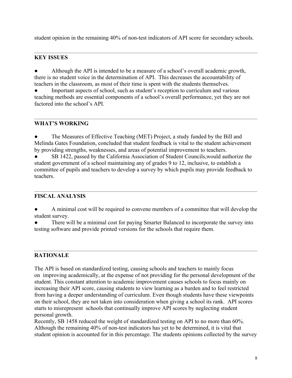student opinion in the remaining 40% of non-test indicators of API score for secondary schools.

# **KEY ISSUES**

Although the API is intended to be a measure of a school's overall academic growth, there is no student voice in the determination of API. This decreases the accountability of teachers in the classroom, as most of their time is spent with the students themselves.

Important aspects of school, such as student's reception to curriculum and various teaching methods are essential components of a school's overall performance, yet they are not factored into the school's API.

# **WHAT'S WORKING**

The Measures of Effective Teaching (MET) Project, a study funded by the Bill and Melinda Gates Foundation, concluded that student feedback is vital to the student achievement by providing strengths, weaknesses, and areas of potential improvement to teachers.

SB 1422, passed by the California Association of Student Councils, would authorize the student government of a school maintaining any of grades 9 to 12, inclusive, to establish a committee of pupils and teachers to develop a survey by which pupils may provide feedback to teachers.

# **FISCAL ANALYSIS**

A minimal cost will be required to convene members of a committee that will develop the student survey.

There will be a minimal cost for paying Smarter Balanced to incorporate the survey into testing software and provide printed versions for the schools that require them.

# **RATIONALE**

The API is based on standardized testing, causing schools and teachers to mainly focus on improving academically, at the expense of not providing for the personal development of the student. This constant attention to academic improvement causes schools to focus mainly on increasing their API score, causing students to view learning as a burden and to feel restricted from having a deeper understanding of curriculum. Even though students have these viewpoints on their school, they are not taken into consideration when giving a school its rank. API scores starts to misrepresent schools that continually improve API scores by neglecting student personal growth.

Recently, SB 1458 reduced the weight of standardized testing on API to no more than 60%. Although the remaining 40% of non-test indicators has yet to be determined, it is vital that student opinion is accounted for in this percentage. The students opinions collected by the survey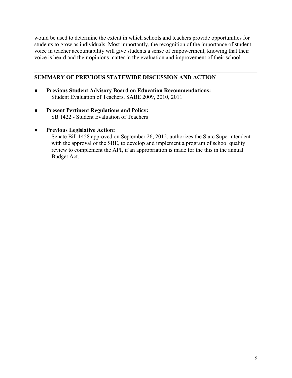would be used to determine the extent in which schools and teachers provide opportunities for students to grow as individuals. Most importantly, the recognition of the importance of student voice in teacher accountability will give students a sense of empowerment, knowing that their voice is heard and their opinions matter in the evaluation and improvement of their school.

# **SUMMARY OF PREVIOUS STATEWIDE DISCUSSION AND ACTION**

- **Previous Student Advisory Board on Education Recommendations:** Student Evaluation of Teachers, SABE 2009, 2010, 2011
- **Present Pertinent Regulations and Policy:** SB 1422 - Student Evaluation of Teachers
- **Previous Legislative Action:**

Senate Bill 1458 approved on September 26, 2012, authorizes the State Superintendent with the approval of the SBE, to develop and implement a program of school quality review to complement the API, if an appropriation is made for the this in the annual Budget Act.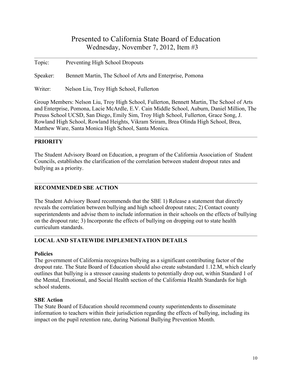| Topic:   | Preventing High School Dropouts                           |
|----------|-----------------------------------------------------------|
| Speaker: | Bennett Martin, The School of Arts and Enterprise, Pomona |
| Writer:  | Nelson Liu, Troy High School, Fullerton                   |

Group Members: Nelson Liu, Troy High School, Fullerton, Bennett Martin, The School of Arts and Enterprise, Pomona, Lacie McArdle, E.V. Cain Middle School, Auburn, Daniel Million, The Preuss School UCSD, San Diego, Emily Sim, Troy High School, Fullerton, Grace Song, J. Rowland High School, Rowland Heights, Vikram Sriram, Brea Olinda High School, Brea, Matthew Ware, Santa Monica High School, Santa Monica.

# **PRIORITY**

The Student Advisory Board on Education, a program of the California Association of Student Councils, establishes the clarification of the correlation between student dropout rates and bullying as a priority.

#### **RECOMMENDED SBE ACTION**

The Student Advisory Board recommends that the SBE 1) Release a statement that directly reveals the correlation between bullying and high school dropout rates; 2) Contact county superintendents and advise them to include information in their schools on the effects of bullying on the dropout rate; 3) Incorporate the effects of bullying on dropping out to state health curriculum standards.

# **LOCAL AND STATEWIDE IMPLEMENTATION DETAILS**

#### **Policies**

The government of California recognizes bullying as a significant contributing factor of the dropout rate. The State Board of Education should also create substandard 1.12.M, which clearly outlines that bullying is a stressor causing students to potentially drop out, within Standard 1 of the Mental, Emotional, and Social Health section of the California Health Standards for high school students.

# **SBE Action**

The State Board of Education should recommend county superintendents to disseminate information to teachers within their jurisdiction regarding the effects of bullying, including its impact on the pupil retention rate, during National Bullying Prevention Month.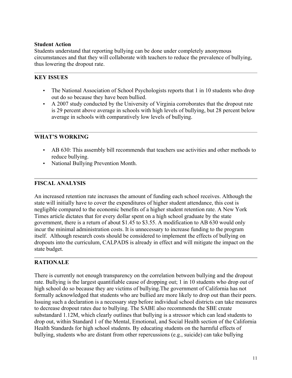#### **Student Action**

Students understand that reporting bullying can be done under completely anonymous circumstances and that they will collaborate with teachers to reduce the prevalence of bullying, thus lowering the dropout rate.

# **KEY ISSUES**

- The National Association of School Psychologists reports that 1 in 10 students who drop out do so because they have been bullied.
- A 2007 study conducted by the University of Virginia corroborates that the dropout rate is 29 percent above average in schools with high levels of bullying, but 28 percent below average in schools with comparatively low levels of bullying.

# **WHAT'S WORKING**

- AB 630: This assembly bill recommends that teachers use activities and other methods to reduce bullying.
- National Bullying Prevention Month.

# **FISCAL ANALYSIS**

An increased retention rate increases the amount of funding each school receives. Although the state will initially have to cover the expenditures of higher student attendance, this cost is negligible compared to the economic benefits of a higher student retention rate. A New York Times article dictates that for every dollar spent on a high school graduate by the state government, there is a return of about \$1.45 to \$3.55. A modification to AB 630 would only incur the minimal administration costs. It is unnecessary to increase funding to the program itself. Although research costs should be considered to implement the effects of bullying on dropouts into the curriculum, CALPADS is already in effect and will mitigate the impact on the state budget.

# **RATIONALE**

There is currently not enough transparency on the correlation between bullying and the dropout rate. Bullying is the largest quantifiable cause of dropping out; 1 in 10 students who drop out of high school do so because they are victims of bullying.The government of California has not formally acknowledged that students who are bullied are more likely to drop out than their peers. Issuing such a declaration is a necessary step before individual school districts can take measures to decrease dropout rates due to bullying. The SABE also recommends the SBE create substandard 1.12M, which clearly outlines that bullying is a stressor which can lead students to drop out, within Standard 1 of the Mental, Emotional, and Social Health section of the California Health Standards for high school students. By educating students on the harmful effects of bullying, students who are distant from other repercussions (e.g., suicide) can take bullying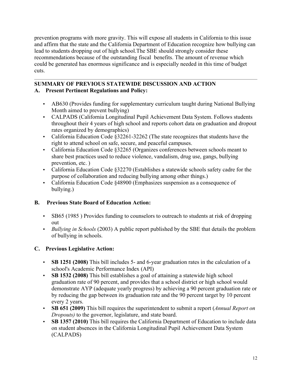prevention programs with more gravity. This will expose all students in California to this issue and affirm that the state and the California Department of Education recognize how bullying can lead to students dropping out of high school.The SBE should strongly consider these recommendations because of the outstanding fiscal benefits. The amount of revenue which could be generated has enormous significance and is especially needed in this time of budget cuts.

# **SUMMARY OF PREVIOUS STATEWIDE DISCUSSION AND ACTION A. Present Pertinent Regulations and Policy:**

- AB630 (Provides funding for supplementary curriculum taught during National Bullying Month aimed to prevent bullying)
- CALPADS (California Longitudinal Pupil Achievement Data System. Follows students throughout their 4 years of high school and reports cohort data on graduation and dropout rates organized by demographics)
- California Education Code §32261-32262 (The state recognizes that students have the right to attend school on safe, secure, and peaceful campuses.
- California Education Code §32265 (Organizes conferences between schools meant to share best practices used to reduce violence, vandalism, drug use, gangs, bullying prevention, etc. )
- California Education Code §32270 (Establishes a statewide schools safety cadre for the purpose of collaboration and reducing bullying among other things.)
- California Education Code §48900 (Emphasizes suspension as a consequence of bullying.)

# **B. Previous State Board of Education Action:**

- SB65 (1985) Provides funding to counselors to outreach to students at risk of dropping out
- *Bullying in Schools* (2003) A public report published by the SBE that details the problem of bullying in schools.

# **C. Previous Legislative Action:**

- **SB 1251 (2008)** This bill includes 5- and 6-year graduation rates in the calculation of a school's Academic Performance Index (API)
- **SB 1532 (2008)** This bill establishes a goal of attaining a statewide high school graduation rate of 90 percent, and provides that a school district or high school would demonstrate AYP (adequate yearly progress) by achieving a 90 percent graduation rate or by reducing the gap between its graduation rate and the 90 percent target by 10 percent every 2 years.
- **SB 651 (2009)** This bill requires the superintendent to submit a report (*Annual Report on Dropouts)* to the governor, legislature, and state board.
- **SB 1357 (2010)** This bill requires the California Department of Education to include data on student absences in the California Longitudinal Pupil Achievement Data System (CALPADS)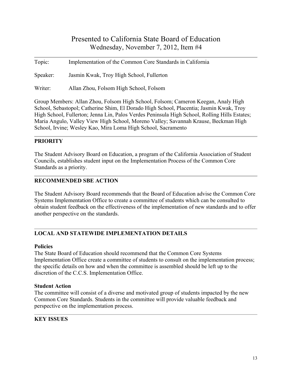| Topic:   | Implementation of the Common Core Standards in California |
|----------|-----------------------------------------------------------|
| Speaker: | Jasmin Kwak, Troy High School, Fullerton                  |
| Writer:  | Allan Zhou, Folsom High School, Folsom                    |

Group Members: Allan Zhou, Folsom High School, Folsom; Cameron Keegan, Analy High School, Sebastopol; Catherine Shim, El Dorado High School, Placentia; Jasmin Kwak, Troy High School, Fullerton; Jenna Lin, Palos Verdes Peninsula High School, Rolling Hills Estates; Maria Angulo, Valley View High School, Moreno Valley; Savannah Krause, Beckman High School, Irvine; Wesley Kao, Mira Loma High School, Sacramento

# **PRIORITY**

The Student Advisory Board on Education, a program of the California Association of Student Councils, establishes student input on the Implementation Process of the Common Core Standards as a priority.

# **RECOMMENDED SBE ACTION**

The Student Advisory Board recommends that the Board of Education advise the Common Core Systems Implementation Office to create a committee of students which can be consulted to obtain student feedback on the effectiveness of the implementation of new standards and to offer another perspective on the standards.

# **LOCAL AND STATEWIDE IMPLEMENTATION DETAILS**

# **Policies**

The State Board of Education should recommend that the Common Core Systems Implementation Office create a committee of students to consult on the implementation process; the specific details on how and when the committee is assembled should be left up to the discretion of the C.C.S. Implementation Office.

# **Student Action**

The committee will consist of a diverse and motivated group of students impacted by the new Common Core Standards. Students in the committee will provide valuable feedback and perspective on the implementation process.

# **KEY ISSUES**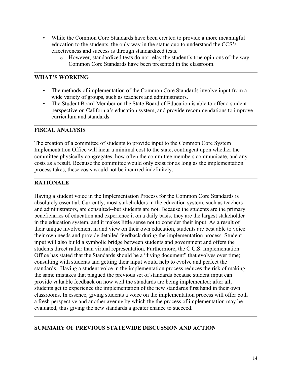- While the Common Core Standards have been created to provide a more meaningful education to the students, the only way in the status quo to understand the CCS's effectiveness and success is through standardized tests.
	- $\circ$  However, standardized tests do not relay the student's true opinions of the way Common Core Standards have been presented in the classroom.

# **WHAT'S WORKING**

- The methods of implementation of the Common Core Standards involve input from a wide variety of groups, such as teachers and administrators.
- The Student Board Member on the State Board of Education is able to offer a student perspective on California's education system, and provide recommendations to improve curriculum and standards.

# **FISCAL ANALYSIS**

The creation of a committee of students to provide input to the Common Core System Implementation Office will incur a minimal cost to the state, contingent upon whether the committee physically congregates, how often the committee members communicate, and any costs as a result. Because the committee would only exist for as long as the implementation process takes, these costs would not be incurred indefinitely.

# **RATIONALE**

Having a student voice in the Implementation Process for the Common Core Standards is absolutely essential. Currently, most stakeholders in the education system, such as teachers and administrators, are consulted--but students are not. Because the students are the primary beneficiaries of education and experience it on a daily basis, they are the largest stakeholder in the education system, and it makes little sense not to consider their input. As a result of their unique involvement in and view on their own education, students are best able to voice their own needs and provide detailed feedback during the implementation process. Student input will also build a symbolic bridge between students and government and offers the students direct rather than virtual representation. Furthermore, the C.C.S. Implementation Office has stated that the Standards should be a "living document" that evolves over time; consulting with students and getting their input would help to evolve and perfect the standards. Having a student voice in the implementation process reduces the risk of making the same mistakes that plagued the previous set of standards because student input can provide valuable feedback on how well the standards are being implemented; after all, students get to experience the implementation of the new standards first hand in their own classrooms. In essence, giving students a voice on the implementation process will offer both a fresh perspective and another avenue by which the the process of implementation may be evaluated, thus giving the new standards a greater chance to succeed.

# **SUMMARY OF PREVIOUS STATEWIDE DISCUSSION AND ACTION**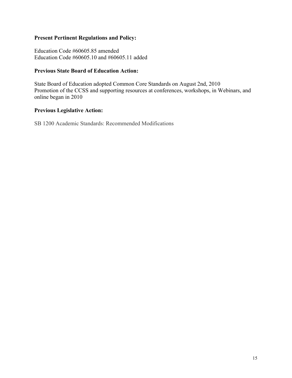# **Present Pertinent Regulations and Policy:**

Education Code #60605.85 amended Education Code #60605.10 and #60605.11 added

#### **Previous State Board of Education Action:**

State Board of Education adopted Common Core Standards on August 2nd, 2010 Promotion of the CCSS and supporting resources at conferences, workshops, in Webinars, and online began in 2010

# **Previous Legislative Action:**

SB 1200 Academic Standards: Recommended Modifications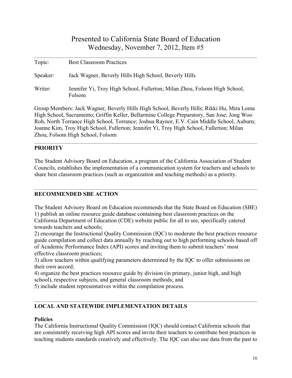| Topic:   | <b>Best Classroom Practices</b>                                                     |
|----------|-------------------------------------------------------------------------------------|
| Speaker: | Jack Wagner, Beverly Hills High School, Beverly Hills                               |
| Writer:  | Jennifer Yi, Troy High School, Fullerton; Milan Zhou, Folsom High School,<br>Folsom |

Group Members: Jack Wagner, Beverly Hills High School, Beverly Hills; Rikki Hu, Mira Loma High School, Sacramento; Griffin Keller, Bellarmine College Preparatory, San Jose; Jong Woo Roh, North Torrance High School, Torrance; Joshua Raynor, E.V. Cain Middle School, Auburn; Joanne Kim, Troy High School, Fullerton; Jennifer Yi, Troy High School, Fullerton; Milan Zhou, Folsom High School, Folsom

# **PRIORITY**

The Student Advisory Board on Education, a program of the California Association of Student Councils, establishes the implementation of a communication system for teachers and schools to share best classroom practices (such as organization and teaching methods) as a priority.

# **RECOMMENDED SBE ACTION**

The Student Advisory Board on Education recommends that the State Board on Education (SBE) 1) publish an online resource guide database containing best classroom practices on the California Department of Education (CDE) website public for all to see, specifically catered towards teachers and schools;

2) encourage the Instructional Quality Commission (IQC) to moderate the best practices resource guide compilation and collect data annually by reaching out to high performing schools based off of Academic Performance Index (API) scores and inviting them to submit teachers' most effective classroom practices;

3) allow teachers within qualifying parameters determined by the IQC to offer submissions on their own accord;

4) organize the best practices resource guide by division (in primary, junior high, and high school), respective subjects, and general classroom methods; and

5) include student representatives within the compilation process.

# **LOCAL AND STATEWIDE IMPLEMENTATION DETAILS**

# **Policies**

The California Instructional Quality Commission (IQC) should contact California schools that are consistently receiving high API scores and invite their teachers to contribute best practices in teaching students standards creatively and effectively. The IQC can also use data from the past to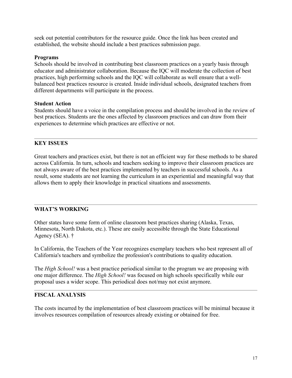seek out potential contributors for the resource guide. Once the link has been created and established, the website should include a best practices submission page.

#### **Programs**

Schools should be involved in contributing best classroom practices on a yearly basis through educator and administrator collaboration. Because the IQC will moderate the collection of best practices, high performing schools and the IQC will collaborate as well ensure that a wellbalanced best practices resource is created. Inside individual schools, designated teachers from different departments will participate in the process.

#### **Student Action**

Students should have a voice in the compilation process and should be involved in the review of best practices. Students are the ones affected by classroom practices and can draw from their experiences to determine which practices are effective or not.

# **KEY ISSUES**

Great teachers and practices exist, but there is not an efficient way for these methods to be shared across California. In turn, schools and teachers seeking to improve their classroom practices are not always aware of the best practices implemented by teachers in successful schools. As a result, some students are not learning the curriculum in an experiential and meaningful way that allows them to apply their knowledge in practical situations and assessments.

# **WHAT'S WORKING**

Other states have some form of online classroom best practices sharing (Alaska, Texas, Minnesota, North Dakota, etc.). These are easily accessible through the State Educational Agency (SEA). †

In California, the Teachers of the Year recognizes exemplary teachers who best represent all of California's teachers and symbolize the profession's contributions to quality education.

The *High School!* was a best practice periodical similar to the program we are proposing with one major difference. The *High School!* was focused on high schools specifically while our proposal uses a wider scope. This periodical does not/may not exist anymore.

# **FISCAL ANALYSIS**

The costs incurred by the implementation of best classroom practices will be minimal because it involves resources compilation of resources already existing or obtained for free.